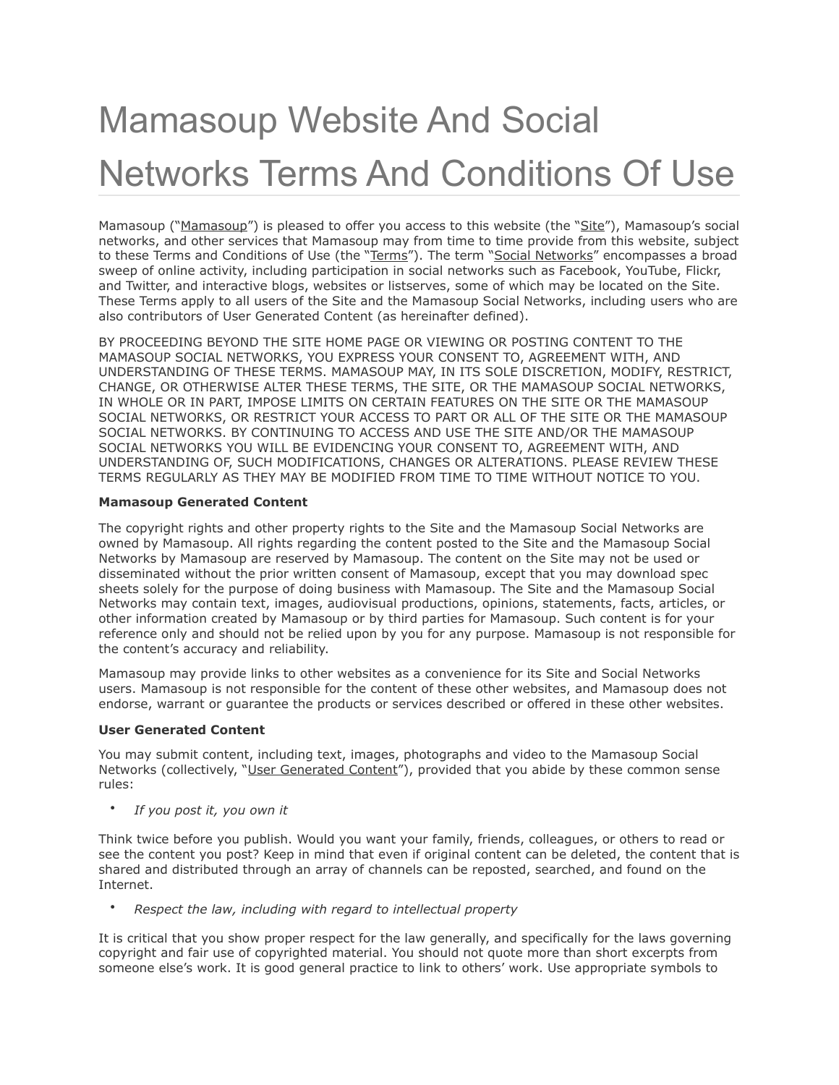# Mamasoup Website And Social Networks Terms And Conditions Of Use

Mamasoup ("Mamasoup") is pleased to offer you access to this website (the "Site"), Mamasoup's social networks, and other services that Mamasoup may from time to time provide from this website, subject to these Terms and Conditions of Use (the "Terms"). The term "Social Networks" encompasses a broad sweep of online activity, including participation in social networks such as Facebook, YouTube, Flickr, and Twitter, and interactive blogs, websites or listserves, some of which may be located on the Site. These Terms apply to all users of the Site and the Mamasoup Social Networks, including users who are also contributors of User Generated Content (as hereinafter defined).

BY PROCEEDING BEYOND THE SITE HOME PAGE OR VIEWING OR POSTING CONTENT TO THE MAMASOUP SOCIAL NETWORKS, YOU EXPRESS YOUR CONSENT TO, AGREEMENT WITH, AND UNDERSTANDING OF THESE TERMS. MAMASOUP MAY, IN ITS SOLE DISCRETION, MODIFY, RESTRICT, CHANGE, OR OTHERWISE ALTER THESE TERMS, THE SITE, OR THE MAMASOUP SOCIAL NETWORKS, IN WHOLE OR IN PART, IMPOSE LIMITS ON CERTAIN FEATURES ON THE SITE OR THE MAMASOUP SOCIAL NETWORKS, OR RESTRICT YOUR ACCESS TO PART OR ALL OF THE SITE OR THE MAMASOUP SOCIAL NETWORKS. BY CONTINUING TO ACCESS AND USE THE SITE AND/OR THE MAMASOUP SOCIAL NETWORKS YOU WILL BE EVIDENCING YOUR CONSENT TO, AGREEMENT WITH, AND UNDERSTANDING OF, SUCH MODIFICATIONS, CHANGES OR ALTERATIONS. PLEASE REVIEW THESE TERMS REGULARLY AS THEY MAY BE MODIFIED FROM TIME TO TIME WITHOUT NOTICE TO YOU.

# **Mamasoup Generated Content**

The copyright rights and other property rights to the Site and the Mamasoup Social Networks are owned by Mamasoup. All rights regarding the content posted to the Site and the Mamasoup Social Networks by Mamasoup are reserved by Mamasoup. The content on the Site may not be used or disseminated without the prior written consent of Mamasoup, except that you may download spec sheets solely for the purpose of doing business with Mamasoup. The Site and the Mamasoup Social Networks may contain text, images, audiovisual productions, opinions, statements, facts, articles, or other information created by Mamasoup or by third parties for Mamasoup. Such content is for your reference only and should not be relied upon by you for any purpose. Mamasoup is not responsible for the content's accuracy and reliability.

Mamasoup may provide links to other websites as a convenience for its Site and Social Networks users. Mamasoup is not responsible for the content of these other websites, and Mamasoup does not endorse, warrant or guarantee the products or services described or offered in these other websites.

## **User Generated Content**

You may submit content, including text, images, photographs and video to the Mamasoup Social Networks (collectively, "User Generated Content"), provided that you abide by these common sense rules:

• *If you post it, you own it*

Think twice before you publish. Would you want your family, friends, colleagues, or others to read or see the content you post? Keep in mind that even if original content can be deleted, the content that is shared and distributed through an array of channels can be reposted, searched, and found on the Internet.

• *Respect the law, including with regard to intellectual property*

It is critical that you show proper respect for the law generally, and specifically for the laws governing copyright and fair use of copyrighted material. You should not quote more than short excerpts from someone else's work. It is good general practice to link to others' work. Use appropriate symbols to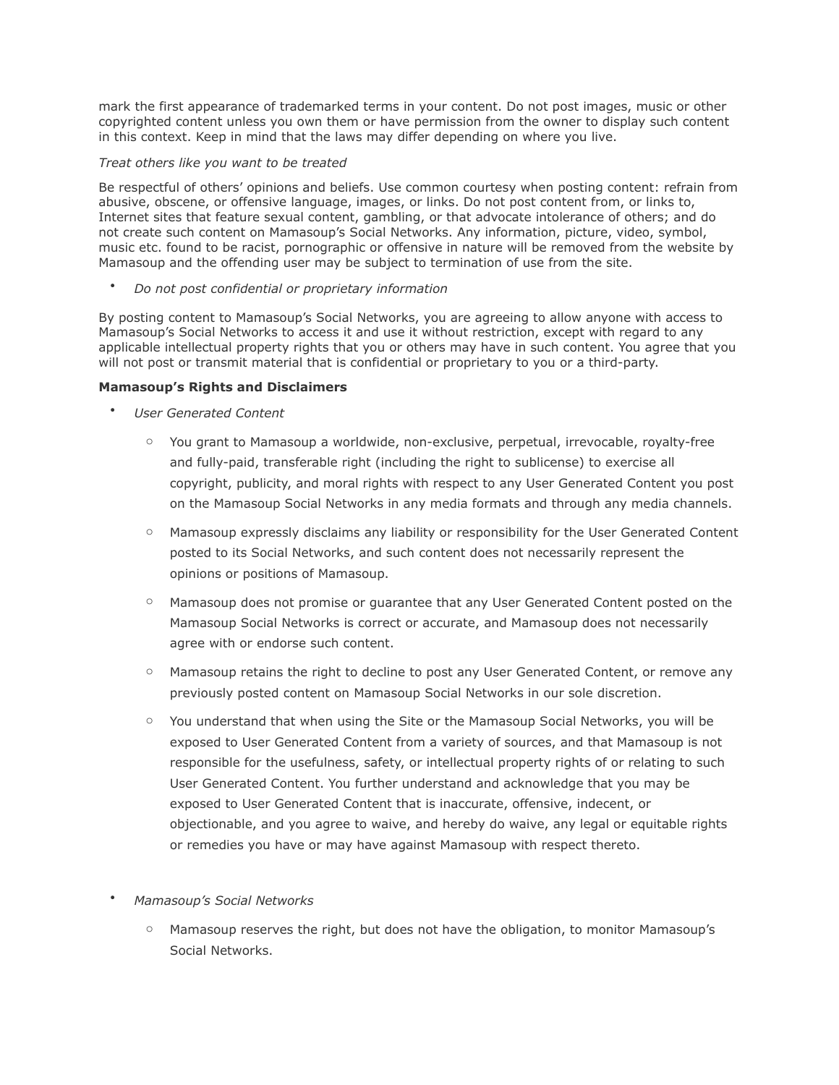mark the first appearance of trademarked terms in your content. Do not post images, music or other copyrighted content unless you own them or have permission from the owner to display such content in this context. Keep in mind that the laws may differ depending on where you live.

## *Treat others like you want to be treated*

Be respectful of others' opinions and beliefs. Use common courtesy when posting content: refrain from abusive, obscene, or offensive language, images, or links. Do not post content from, or links to, Internet sites that feature sexual content, gambling, or that advocate intolerance of others; and do not create such content on Mamasoup's Social Networks. Any information, picture, video, symbol, music etc. found to be racist, pornographic or offensive in nature will be removed from the website by Mamasoup and the offending user may be subject to termination of use from the site.

• *Do not post confidential or proprietary information*

By posting content to Mamasoup's Social Networks, you are agreeing to allow anyone with access to Mamasoup's Social Networks to access it and use it without restriction, except with regard to any applicable intellectual property rights that you or others may have in such content. You agree that you will not post or transmit material that is confidential or proprietary to you or a third-party.

# **Mamasoup's Rights and Disclaimers**

- *User Generated Content*
	- o You grant to Mamasoup a worldwide, non-exclusive, perpetual, irrevocable, royalty-free and fully-paid, transferable right (including the right to sublicense) to exercise all copyright, publicity, and moral rights with respect to any User Generated Content you post on the Mamasoup Social Networks in any media formats and through any media channels.
	- o Mamasoup expressly disclaims any liability or responsibility for the User Generated Content posted to its Social Networks, and such content does not necessarily represent the opinions or positions of Mamasoup.
	- o Mamasoup does not promise or guarantee that any User Generated Content posted on the Mamasoup Social Networks is correct or accurate, and Mamasoup does not necessarily agree with or endorse such content.
	- o Mamasoup retains the right to decline to post any User Generated Content, or remove any previously posted content on Mamasoup Social Networks in our sole discretion.
	- o You understand that when using the Site or the Mamasoup Social Networks, you will be exposed to User Generated Content from a variety of sources, and that Mamasoup is not responsible for the usefulness, safety, or intellectual property rights of or relating to such User Generated Content. You further understand and acknowledge that you may be exposed to User Generated Content that is inaccurate, offensive, indecent, or objectionable, and you agree to waive, and hereby do waive, any legal or equitable rights or remedies you have or may have against Mamasoup with respect thereto.

# • *Mamasoup's Social Networks*

 $\circ$  Mamasoup reserves the right, but does not have the obligation, to monitor Mamasoup's Social Networks.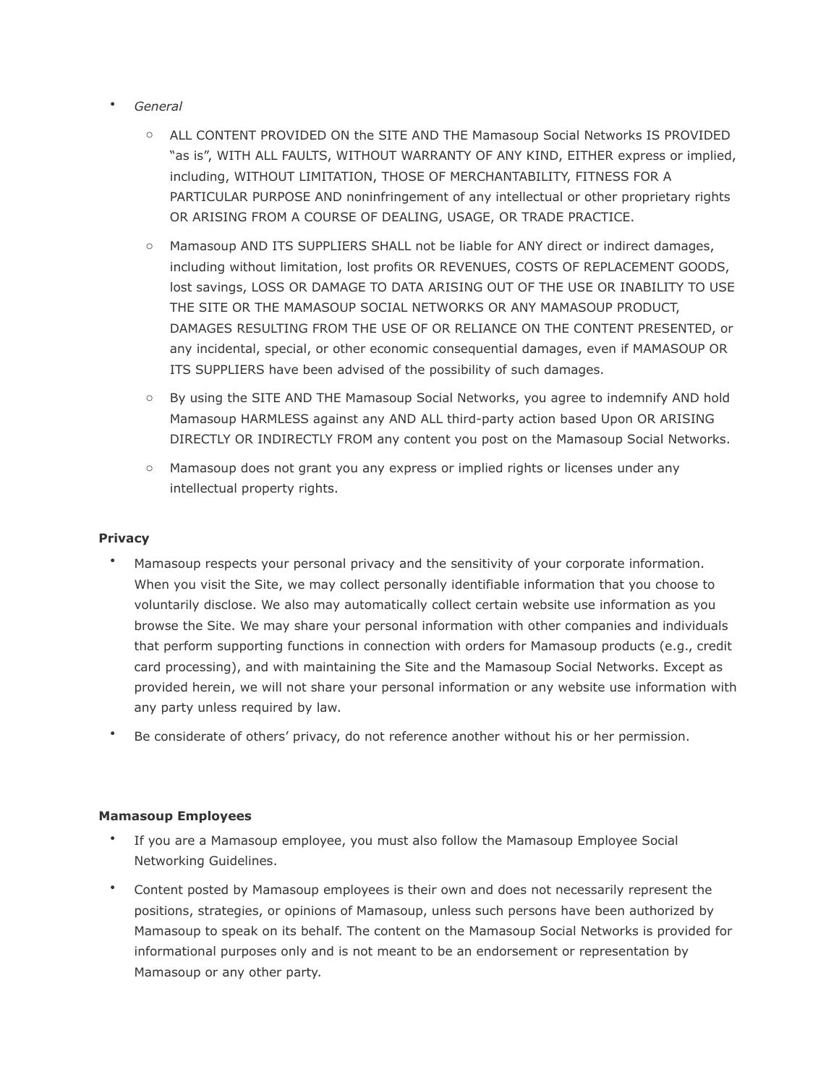- *General*
	- o ALL CONTENT PROVIDED ON the SITE AND THE Mamasoup Social Networks IS PROVIDED "as is", WITH ALL FAULTS, WITHOUT WARRANTY OF ANY KIND, EITHER express or implied, including, WITHOUT LIMITATION, THOSE OF MERCHANTABILITY, FITNESS FOR A PARTICULAR PURPOSE AND noninfringement of any intellectual or other proprietary rights OR ARISING FROM A COURSE OF DEALING, USAGE, OR TRADE PRACTICE.
	- o Mamasoup AND ITS SUPPLIERS SHALL not be liable for ANY direct or indirect damages, including without limitation, lost profits OR REVENUES, COSTS OF REPLACEMENT GOODS, lost savings, LOSS OR DAMAGE TO DATA ARISING OUT OF THE USE OR INABILITY TO USE THE SITE OR THE MAMASOUP SOCIAL NETWORKS OR ANY MAMASOUP PRODUCT, DAMAGES RESULTING FROM THE USE OF OR RELIANCE ON THE CONTENT PRESENTED, or any incidental, special, or other economic consequential damages, even if MAMASOUP OR ITS SUPPLIERS have been advised of the possibility of such damages.
	- o By using the SITE AND THE Mamasoup Social Networks, you agree to indemnify AND hold Mamasoup HARMLESS against any AND ALL third-party action based Upon OR ARISING DIRECTLY OR INDIRECTLY FROM any content you post on the Mamasoup Social Networks.
	- o Mamasoup does not grant you any express or implied rights or licenses under any intellectual property rights.

# **Privacy**

- Mamasoup respects your personal privacy and the sensitivity of your corporate information. When you visit the Site, we may collect personally identifiable information that you choose to voluntarily disclose. We also may automatically collect certain website use information as you browse the Site. We may share your personal information with other companies and individuals that perform supporting functions in connection with orders for Mamasoup products (e.g., credit card processing), and with maintaining the Site and the Mamasoup Social Networks. Except as provided herein, we will not share your personal information or any website use information with any party unless required by law.
- Be considerate of others' privacy, do not reference another without his or her permission.

## **Mamasoup Employees**

- If you are a Mamasoup employee, you must also follow the Mamasoup Employee Social Networking Guidelines.
- Content posted by Mamasoup employees is their own and does not necessarily represent the positions, strategies, or opinions of Mamasoup, unless such persons have been authorized by Mamasoup to speak on its behalf. The content on the Mamasoup Social Networks is provided for informational purposes only and is not meant to be an endorsement or representation by Mamasoup or any other party.